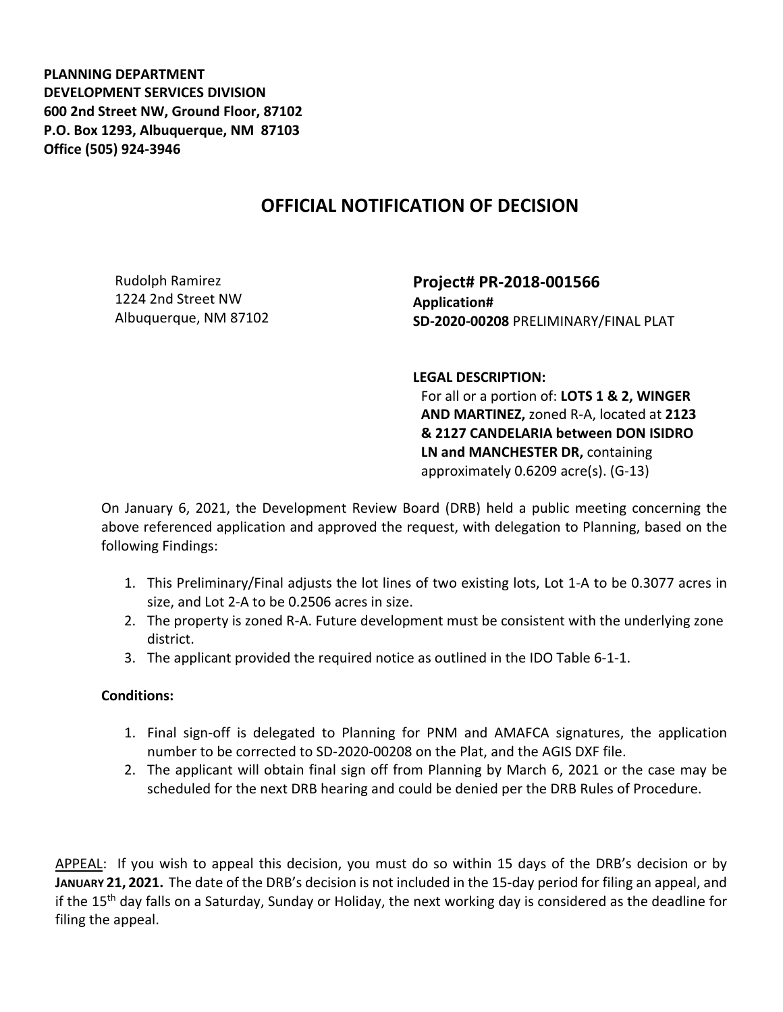**PLANNING DEPARTMENT DEVELOPMENT SERVICES DIVISION 600 2nd Street NW, Ground Floor, 87102 P.O. Box 1293, Albuquerque, NM 87103 Office (505) 924-3946** 

## **OFFICIAL NOTIFICATION OF DECISION**

Rudolph Ramirez 1224 2nd Street NW Albuquerque, NM 87102 **Project# PR-2018-001566 Application# SD-2020-00208** PRELIMINARY/FINAL PLAT

**LEGAL DESCRIPTION:**

For all or a portion of: **LOTS 1 & 2, WINGER AND MARTINEZ,** zoned R-A, located at **2123 & 2127 CANDELARIA between DON ISIDRO LN and MANCHESTER DR,** containing approximately 0.6209 acre(s). (G-13)

On January 6, 2021, the Development Review Board (DRB) held a public meeting concerning the above referenced application and approved the request, with delegation to Planning, based on the following Findings:

- 1. This Preliminary/Final adjusts the lot lines of two existing lots, Lot 1-A to be 0.3077 acres in size, and Lot 2-A to be 0.2506 acres in size.
- 2. The property is zoned R-A. Future development must be consistent with the underlying zone district.
- 3. The applicant provided the required notice as outlined in the IDO Table 6-1-1.

## **Conditions:**

- 1. Final sign-off is delegated to Planning for PNM and AMAFCA signatures, the application number to be corrected to SD-2020-00208 on the Plat, and the AGIS DXF file.
- 2. The applicant will obtain final sign off from Planning by March 6, 2021 or the case may be scheduled for the next DRB hearing and could be denied per the DRB Rules of Procedure.

APPEAL: If you wish to appeal this decision, you must do so within 15 days of the DRB's decision or by **JANUARY 21, 2021.** The date of the DRB's decision is not included in the 15-day period for filing an appeal, and if the 15th day falls on a Saturday, Sunday or Holiday, the next working day is considered as the deadline for filing the appeal.